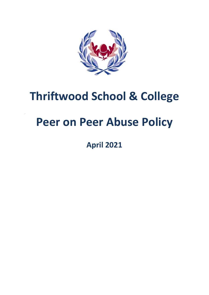

## **Thriftwood School & College**

# **Peer on Peer Abuse Policy**

**April 2021**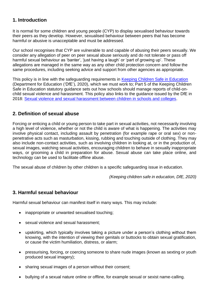## **1. Introduction**

It is normal for some children and young people (CYP) to display sexualised behaviour towards their peers as they develop. However, sexualised behaviour between peers that has become harmful or abusive is unacceptable and must be addressed.

Our school recognises that CYP are vulnerable to and capable of abusing their peers sexually. We consider any allegation of peer on peer sexual abuse seriously and do not tolerate or pass off harmful sexual behaviour as 'banter', 'just having a laugh' or 'part of growing up'. These allegations are managed in the same way as any other child protection concern and follow the same procedures, including seeking advice and support from other agencies as appropriate.

This policy is in line with the safeguarding requirements in [Keeping Children Safe in Education](https://eur02.safelinks.protection.outlook.com/?url=https%3A%2F%2Fassets.publishing.service.gov.uk%2Fgovernment%2Fuploads%2Fsystem%2Fuploads%2Fattachment_data%2Ffile%2F954314%2FKeeping_children_safe_in_education_2020_-_Update_-_January_2021.pdf&data=04%7C01%7C%7Cf2e9fff87b2149eb72d208d8fe84ac80%7Ca8b4324f155c4215a0f17ed8cc9a992f%7C0%7C0%7C637539193225028841%7CUnknown%7CTWFpbGZsb3d8eyJWIjoiMC4wLjAwMDAiLCJQIjoiV2luMzIiLCJBTiI6Ik1haWwiLCJXVCI6Mn0%3D%7C1000&sdata=VnfJGiVrh%2BweNNu%2BiwjdcWv8RJzWF6EvSn1d8NGC7oE%3D&reserved=0) (Department for Education ('DfE'), 2020), which we must work to; Part 5 of the Keeping Children Safe in Education statutory guidance sets out how schools should manage reports of child-onchild sexual violence and harassment. This policy also links to the guidance issued by the DfE in 2018: [Sexual violence and sexual harassment between children in schools and colleges.](https://eur02.safelinks.protection.outlook.com/?url=https%3A%2F%2Fwww.gov.uk%2Fgovernment%2Fpublications%2Fsexual-violence-and-sexual-harassment-between-children-in-schools-and-colleges&data=04%7C01%7C%7Cf2e9fff87b2149eb72d208d8fe84ac80%7Ca8b4324f155c4215a0f17ed8cc9a992f%7C0%7C0%7C637539193225038798%7CUnknown%7CTWFpbGZsb3d8eyJWIjoiMC4wLjAwMDAiLCJQIjoiV2luMzIiLCJBTiI6Ik1haWwiLCJXVCI6Mn0%3D%7C1000&sdata=ZYrHV9%2FJUndIMjNVX505sSFT9UICMSs637uOd9Oag4Q%3D&reserved=0)

## **2. Definition of sexual abuse**

Forcing or enticing a child or young person to take part in sexual activities, not necessarily involving a high level of violence, whether or not the child is aware of what is happening. The activities may involve physical contact, including assault by penetration (for example rape or oral sex) or nonpenetrative acts such as masturbation, kissing, rubbing and touching outside of clothing. They may also include non-contact activities, such as involving children in looking at, or in the production of, sexual images, watching sexual activities, encouraging children to behave in sexually inappropriate ways, or grooming a child in preparation for abuse. Sexual abuse can take place online, and technology can be used to facilitate offline abuse.

The sexual abuse of children by other children is a specific safeguarding issue in education.

*(Keeping children safe in education, DfE, 2020)*

## **3. Harmful sexual behaviour**

Harmful sexual behaviour can manifest itself in many ways. This may include:

- inappropriate or unwanted sexualised touching;
- sexual violence and sexual harassment;
- upskirting, which typically involves taking a picture under a person's clothing without them knowing, with the intention of viewing their genitals or buttocks to obtain sexual gratification, or cause the victim humiliation, distress, or alarm;
- pressurising, forcing, or coercing someone to share nude images (known as sexting or youth produced sexual imagery);
- sharing sexual images of a person without their consent;
- bullying of a sexual nature online or offline, for example sexual or sexist name-calling.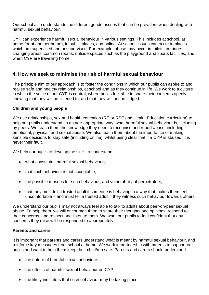Our school also understands the different gender issues that can be prevalent when dealing with harmful sexual behaviour.

CYP can experience harmful sexual behaviour in various settings. This includes at school, at home (or at another home), in public places, and online. At school, issues can occur in places which are supervised and unsupervised. For example, abuse may occur in toilets, corridors, changing areas, common rooms, outside spaces such as the playground and sports facilities, and when CYP are travelling home.

## **4. How we seek to minimise the risk of harmful sexual behaviour**

The principle aim of our approach is to foster the conditions in which our pupils can aspire to and realise safe and healthy relationships, at school and as they continue in life. We work to a culture in which the voice of our CYP is central, where pupils feel able to share their concerns openly, knowing that they will be listened to, and that they will not be judged.

#### **Children and young people**

We use relationships, sex and health education (RE or RSE and Health Education curriculum) to help our pupils understand, in an age-appropriate way, what harmful sexual behaviour is, including by peers. We teach them the knowledge they need to recognise and report abuse, including emotional, physical, and sexual abuse. We also teach them about the importance of making sensible decisions to stay safe (including online), whilst being clear that if a CYP is abused, it is never their fault.

We help our pupils to develop the skills to understand:

- what constitutes harmful sexual behaviour;
- that such behaviour is not acceptable;
- the possible reasons for such behaviour, and vulnerability of perpetrators;
- that they must tell a trusted adult if someone is behaving in a way that makes them feel uncomfortable – and must tell a trusted adult if they witness such behaviour towards others.

We understand our pupils may not always feel able to talk to adults about peer-on-peer sexual abuse. To help them, we will encourage them to share their thoughts and opinions, respond to their concerns, and respect and listen to them. We want our pupils to feel confident that any concerns they raise will be responded to appropriately.

#### **Parents and carers**

It is important that parents and carers understand what is meant by harmful sexual behaviour, and reinforce key messages from school at home. We work in partnership with parents to support our pupils and want to help them keep their child/ren safe. Parents and carers should understand:

- the nature of harmful sexual behaviour:
- the effects of harmful sexual behaviour on CYP;
- the likely indicators that such behaviour may be taking place;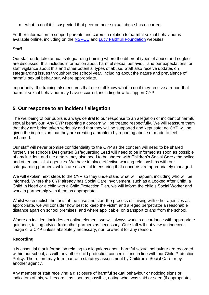• what to do if it is suspected that peer on peer sexual abuse has occurred;

Further information to support parents and carers in relation to harmful sexual behaviour is available online, including on the [NSPCC](https://www.nspcc.org.uk/what-is-child-abuse/types-of-abuse/child-sexual-abuse/#support) and [Lucy Faithfull Foundation](https://www.lucyfaithfull.org.uk/parents-protect.htm) websites.

#### **Staff**

Our staff undertake annual safeguarding training where the different types of abuse and neglect are discussed; this includes information about harmful sexual behaviour and our expectations for staff vigilance about this and other potential types of abuse. Staff also receive updates on safeguarding issues throughout the school year, including about the nature and prevalence of harmful sexual behaviour, where appropriate.

Importantly, the training also ensures that our staff know what to do if they receive a report that harmful sexual behaviour may have occurred, including how to support CYP.

## **5. Our response to an incident / allegation**

The wellbeing of our pupils is always central to our response to an allegation or incident of harmful sexual behaviour. Any CYP reporting a concern will be treated respectfully. We will reassure them that they are being taken seriously and that they will be supported and kept safe; no CYP will be given the impression that they are creating a problem by reporting abuse or made to feel ashamed.

Our staff will never promise confidentiality to the CYP as the concern will need to be shared further. The school's Designated Safeguarding Lead will need to be informed as soon as possible of any incident and the details may also need to be shared with Children's Social Care / the police and other specialist agencies. We have in place effective working relationships with our safeguarding partners, which are essential to ensuring that concerns are appropriately managed.

We will explain next steps to the CYP so they understand what will happen, including who will be informed. Where the CYP already has Social Care involvement, such as a Looked After Child, a Child In Need or a child with a Child Protection Plan, we will inform the child's Social Worker and work in partnership with them as appropriate.

Whilst we establish the facts of the case and start the process of liaising with other agencies as appropriate, we will consider how best to keep the victim and alleged perpetrator a reasonable distance apart on school premises, and where applicable, on transport to and from the school.

Where an incident includes an online element, we will always work in accordance with appropriate guidance, taking advice from other partners as necessary. Our staff will not view an indecent image of a CYP unless absolutely necessary, nor forward it for any reason.

#### **Recording**

It is essential that information relating to allegations about harmful sexual behaviour are recorded within our school, as with any other child protection concern – and in line with our Child Protection Policy. The record may form part of a statutory assessment by Children's Social Care or by another agency.

Any member of staff receiving a disclosure of harmful sexual behaviour or noticing signs or indicators of this, will record it as soon as possible, noting what was said or seen (if appropriate,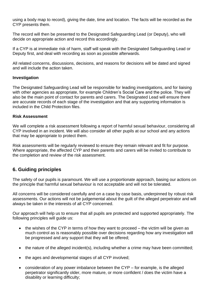using a body map to record), giving the date, time and location. The facts will be recorded as the CYP presents them.

The record will then be presented to the Designated Safeguarding Lead (or Deputy), who will decide on appropriate action and record this accordingly.

If a CYP is at immediate risk of harm, staff will speak with the Designated Safeguarding Lead or Deputy first, and deal with recording as soon as possible afterwards.

All related concerns, discussions, decisions, and reasons for decisions will be dated and signed and will include the action taken.

#### **Investigation**

The Designated Safeguarding Lead will be responsible for leading investigations, and for liaising with other agencies as appropriate, for example Children's Social Care and the police. They will also be the main point of contact for parents and carers. The Designated Lead will ensure there are accurate records of each stage of the investigation and that any supporting information is included in the Child Protection files.

#### **Risk Assessment**

We will complete a risk assessment following a report of harmful sexual behaviour, considering all CYP involved in an incident. We will also consider all other pupils at our school and any actions that may be appropriate to protect them.

Risk assessments will be regularly reviewed to ensure they remain relevant and fit for purpose. Where appropriate, the affected CYP and their parents and carers will be invited to contribute to the completion and review of the risk assessment.

## **6. Guiding principles**

The safety of our pupils is paramount. We will use a proportionate approach, basing our actions on the principle that harmful sexual behaviour is not acceptable and will not be tolerated.

All concerns will be considered carefully and on a case by case basis, underpinned by robust risk assessments. Our actions will not be judgemental about the guilt of the alleged perpetrator and will always be taken in the interests of all CYP concerned.

Our approach will help us to ensure that all pupils are protected and supported appropriately. The following principles will guide us:

- the wishes of the CYP in terms of how they want to proceed the victim will be given as much control as is reasonably possible over decisions regarding how any investigation will be progressed and any support that they will be offered;
- the nature of the alleged incident(s), including whether a crime may have been committed;
- the ages and developmental stages of all CYP involved;
- consideration of any power imbalance between the CYP for example, is the alleged perpetrator significantly older, more mature, or more confident / does the victim have a disability or learning difficulty;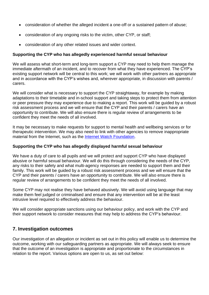- consideration of whether the alleged incident a one-off or a sustained pattern of abuse;
- consideration of any ongoing risks to the victim, other CYP, or staff;
- consideration of any other related issues and wider context.

#### **Supporting the CYP who has allegedly experienced harmful sexual behaviour**

We will assess what short-term and long-term support a CYP may need to help them manage the immediate aftermath of an incident, and to recover from what they have experienced. The CYP's existing support network will be central to this work; we will work with other partners as appropriate and in accordance with the CYP's wishes and, wherever appropriate, in discussion with parents / carers.

We will consider what is necessary to support the CYP straightaway, for example by making adaptations to their timetable and in-school support and taking steps to protect them from attention or peer pressure they may experience due to making a report. This work will be guided by a robust risk assessment process and we will ensure that the CYP and their parents / carers have an opportunity to contribute. We will also ensure there is regular review of arrangements to be confident they meet the needs of all involved.

It may be necessary to make requests for support to mental health and wellbeing services or for therapeutic intervention. We may also need to link with other agencies to remove inappropriate material from the Internet, such as the [Internet Watch Foundation.](https://www.iwf.org.uk/)

#### **Supporting the CYP who has allegedly displayed harmful sexual behaviour**

We have a duty of care to all pupils and we will protect and support CYP who have displayed abusive or harmful sexual behaviour. We will do this through considering the needs of the CYP, any risks to their safety and what multi-agency responses are needed to support them and their family. This work will be guided by a robust risk assessment process and we will ensure that the CYP and their parents / carers have an opportunity to contribute. We will also ensure there is regular review of arrangements to be confident they meet the needs of all involved.

Some CYP may not realise they have behaved abusively. We will avoid using language that may make them feel judged or criminalised and ensure that any intervention will be at the least intrusive level required to effectively address the behaviour.

We will consider appropriate sanctions using our behaviour policy, and work with the CYP and their support network to consider measures that may help to address the CYP's behaviour.

## **7. Investigation outcomes**

Our investigation of an allegation or incident as set out in this policy will enable us to determine the outcome, working with our safeguarding partners as appropriate. We will always seek to ensure that the outcome of an investigation is appropriate and proportionate to the circumstances in relation to the report. Various options are open to us, as set out below: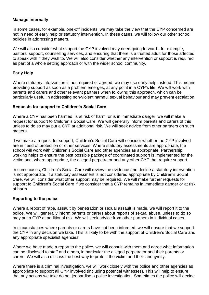#### **Manage internally**

In some cases, for example, one-off incidents, we may take the view that the CYP concerned are not in need of early help or statutory intervention. In these cases, we will follow our other school policies in addressing matters.

We will also consider what support the CYP involved may need going forward - for example, pastoral support, counselling services, and ensuring that there is a trusted adult for those affected to speak with if they wish to. We will also consider whether any intervention or support is required as part of a whole setting approach or with the wider school community.

#### **Early Help**

Where statutory intervention is not required or agreed, we may use early help instead. This means providing support as soon as a problem emerges, at any point in a CYP's life. We will work with parents and carers and other relevant partners when following this approach, which can be particularly useful in addressing non-violent harmful sexual behaviour and may prevent escalation.

#### **Requests for support to Children's Social Care**

Where a CYP has been harmed, is at risk of harm, or is in immediate danger, we will make a request for support to Children's Social Care. We will generally inform parents and carers of this unless to do so may put a CYP at additional risk. We will seek advice from other partners on such matters.

If we make a request for support, Children's Social Care will consider whether the CYP involved are in need of protection or other services. Where statutory assessments are appropriate, the school will work with Children's Social Care and other agencies as appropriate. Partnership working helps to ensure the best possible package of coordinated support is implemented for the victim and, where appropriate, the alleged perpetrator and any other CYP that require support.

In some cases, Children's Social Care will review the evidence and decide a statutory intervention is not appropriate. If a statutory assessment is not considered appropriate by Children's Social Care, we will consider what other support may be required. We will make further requests for support to Children's Social Care if we consider that a CYP remains in immediate danger or at risk of harm.

#### **Reporting to the police**

Where a report of rape, assault by penetration or sexual assault is made, we will report it to the police. We will generally inform parents or carers about reports of sexual abuse, unless to do so may put a CYP at additional risk. We will seek advice from other partners in individual cases.

In circumstances where parents or carers have not been informed, we will ensure that we support the CYP in any decision we take. This is likely to be with the support of Children's Social Care and any appropriate specialist agencies.

Where we have made a report to the police, we will consult with them and agree what information can be disclosed to staff and others, in particular the alleged perpetrator and their parents or carers. We will also discuss the best way to protect the victim and their anonymity.

Where there is a criminal investigation, we will work closely with the police and other agencies as appropriate to support all CYP involved (including potential witnesses). This will help to ensure that any actions we take do not jeopardise a police investigation. Sometimes the police will decide